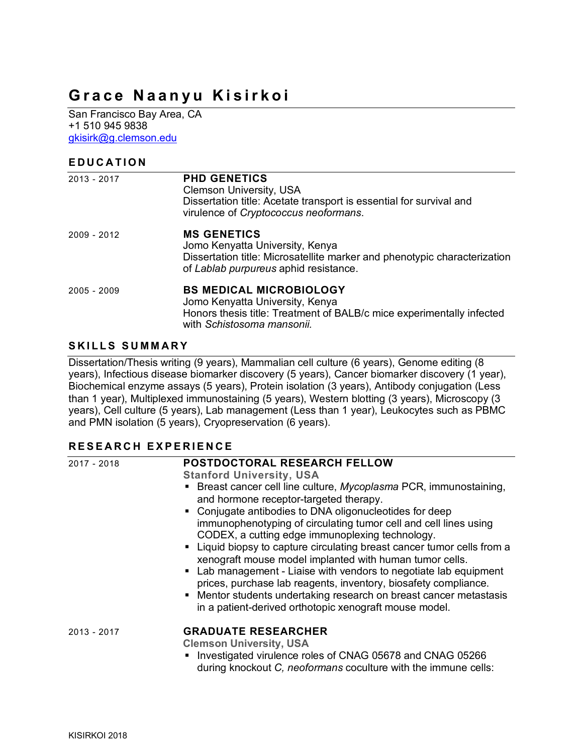# **Grace Naanyu Kisirkoi**

San Francisco Bay Area, CA +1 510 945 9838 gkisirk@g.clemson.edu

#### **EDUCATION**

| 2013 - 2017   | <b>PHD GENETICS</b><br><b>Clemson University, USA</b><br>Dissertation title: Acetate transport is essential for survival and<br>virulence of Cryptococcus neoformans.       |
|---------------|-----------------------------------------------------------------------------------------------------------------------------------------------------------------------------|
| 2009 - 2012   | <b>MS GENETICS</b><br>Jomo Kenyatta University, Kenya<br>Dissertation title: Microsatellite marker and phenotypic characterization<br>of Lablab purpureus aphid resistance. |
| $2005 - 2009$ | <b>BS MEDICAL MICROBIOLOGY</b><br>Jomo Kenyatta University, Kenya<br>Honors thesis title: Treatment of BALB/c mice experimentally infected<br>with Schistosoma mansonii.    |

#### **SKILLS SUMMARY**

Dissertation/Thesis writing (9 years), Mammalian cell culture (6 years), Genome editing (8 years), Infectious disease biomarker discovery (5 years), Cancer biomarker discovery (1 year), Biochemical enzyme assays (5 years), Protein isolation (3 years), Antibody conjugation (Less than 1 year), Multiplexed immunostaining (5 years), Western blotting (3 years), Microscopy (3 years), Cell culture (5 years), Lab management (Less than 1 year), Leukocytes such as PBMC and PMN isolation (5 years), Cryopreservation (6 years).

## **RESEARCH E XPERIENCE**

| 2017 - 2018   | <b>POSTDOCTORAL RESEARCH FELLOW</b>                                                                                                                                                                                                                                                                                                                                                                                                                                                                                                                                                                                                                                                                          |
|---------------|--------------------------------------------------------------------------------------------------------------------------------------------------------------------------------------------------------------------------------------------------------------------------------------------------------------------------------------------------------------------------------------------------------------------------------------------------------------------------------------------------------------------------------------------------------------------------------------------------------------------------------------------------------------------------------------------------------------|
|               | <b>Stanford University, USA</b>                                                                                                                                                                                                                                                                                                                                                                                                                                                                                                                                                                                                                                                                              |
|               | • Breast cancer cell line culture, Mycoplasma PCR, immunostaining,<br>and hormone receptor-targeted therapy.<br>• Conjugate antibodies to DNA oligonucleotides for deep<br>immunophenotyping of circulating tumor cell and cell lines using<br>CODEX, a cutting edge immunoplexing technology.<br>• Liquid biopsy to capture circulating breast cancer tumor cells from a<br>xenograft mouse model implanted with human tumor cells.<br>• Lab management - Liaise with vendors to negotiate lab equipment<br>prices, purchase lab reagents, inventory, biosafety compliance.<br>• Mentor students undertaking research on breast cancer metastasis<br>in a patient-derived orthotopic xenograft mouse model. |
| $2013 - 2017$ | <b>GRADUATE RESEARCHER</b><br><b>Clemson University, USA</b><br>• Investigated virulence roles of CNAG 05678 and CNAG 05266<br>during knockout C, neoformans coculture with the immune cells:                                                                                                                                                                                                                                                                                                                                                                                                                                                                                                                |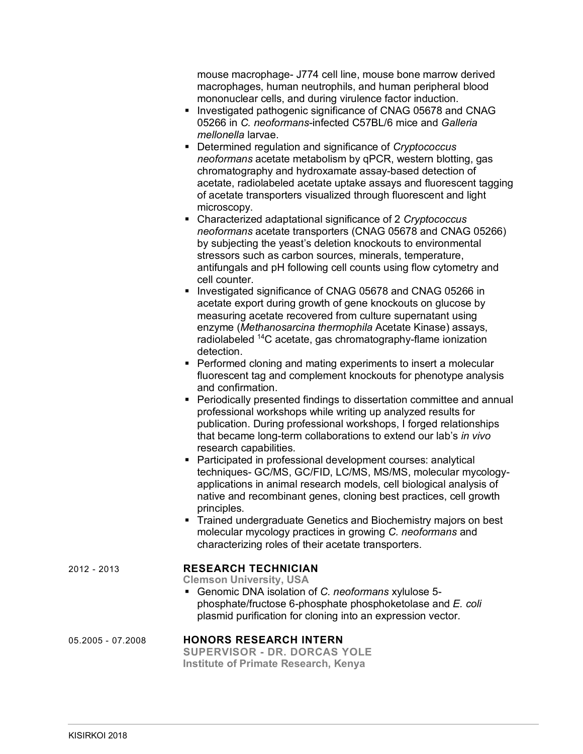mouse macrophage- J774 cell line, mouse bone marrow derived macrophages, human neutrophils, and human peripheral blood mononuclear cells, and during virulence factor induction.

- § Investigated pathogenic significance of CNAG 05678 and CNAG 05266 in *C. neoformans*-infected C57BL/6 mice and *Galleria mellonella* larvae.
- Determined regulation and significance of *Cryptococcus neoformans* acetate metabolism by qPCR, western blotting, gas chromatography and hydroxamate assay-based detection of acetate, radiolabeled acetate uptake assays and fluorescent tagging of acetate transporters visualized through fluorescent and light microscopy.
- § Characterized adaptational significance of 2 *Cryptococcus neoformans* acetate transporters (CNAG 05678 and CNAG 05266) by subjecting the yeast's deletion knockouts to environmental stressors such as carbon sources, minerals, temperature, antifungals and pH following cell counts using flow cytometry and cell counter.
- § Investigated significance of CNAG 05678 and CNAG 05266 in acetate export during growth of gene knockouts on glucose by measuring acetate recovered from culture supernatant using enzyme (*Methanosarcina thermophila* Acetate Kinase) assays, radiolabeled <sup>14</sup>C acetate, gas chromatography-flame ionization detection.
- Performed cloning and mating experiments to insert a molecular fluorescent tag and complement knockouts for phenotype analysis and confirmation.
- Periodically presented findings to dissertation committee and annual professional workshops while writing up analyzed results for publication. During professional workshops, I forged relationships that became long-term collaborations to extend our lab's *in vivo*  research capabilities.
- Participated in professional development courses: analytical techniques- GC/MS, GC/FID, LC/MS, MS/MS, molecular mycologyapplications in animal research models, cell biological analysis of native and recombinant genes, cloning best practices, cell growth principles.
- Trained undergraduate Genetics and Biochemistry majors on best molecular mycology practices in growing *C. neoformans* and characterizing roles of their acetate transporters.

| 2012 - 2013       | <b>RESEARCH TECHNICIAN</b><br><b>Clemson University, USA</b><br>• Genomic DNA isolation of C. neoformans xylulose 5-<br>phosphate/fructose 6-phosphate phosphoketolase and E. coli<br>plasmid purification for cloning into an expression vector. |  |
|-------------------|---------------------------------------------------------------------------------------------------------------------------------------------------------------------------------------------------------------------------------------------------|--|
| 05.2005 - 07.2008 | <b>HONORS RESEARCH INTERN</b><br><b>SUPERVISOR - DR. DORCAS YOLE</b><br><b>Institute of Primate Research, Kenya</b>                                                                                                                               |  |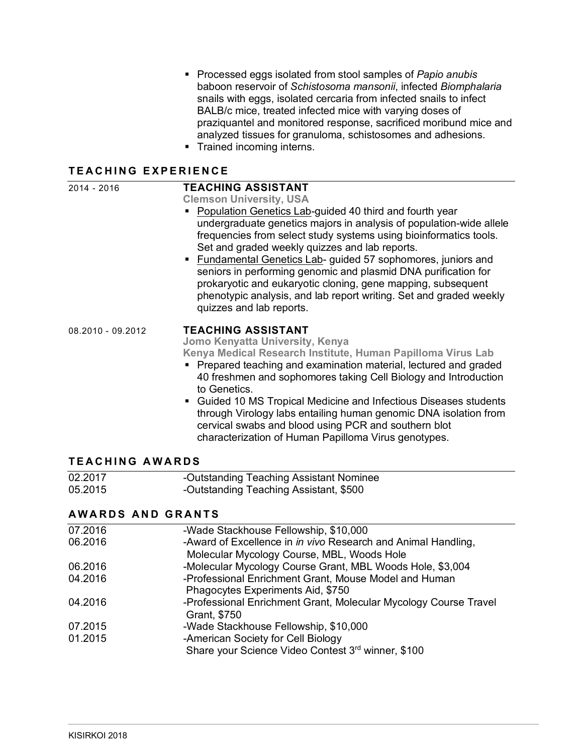- § Processed eggs isolated from stool samples of *Papio anubis* baboon reservoir of *Schistosoma mansonii*, infected *Biomphalaria*  snails with eggs, isolated cercaria from infected snails to infect BALB/c mice, treated infected mice with varying doses of praziquantel and monitored response, sacrificed moribund mice and analyzed tissues for granuloma, schistosomes and adhesions.
- § Trained incoming interns.

### **TEACHING E XPERIENCE**

| 2014 - 2016            | <b>TEACHING ASSISTANT</b><br><b>Clemson University, USA</b><br>Population Genetics Lab-guided 40 third and fourth year<br>undergraduate genetics majors in analysis of population-wide allele<br>frequencies from select study systems using bioinformatics tools.<br>Set and graded weekly quizzes and lab reports.<br>• Fundamental Genetics Lab- guided 57 sophomores, juniors and<br>seniors in performing genomic and plasmid DNA purification for<br>prokaryotic and eukaryotic cloning, gene mapping, subsequent<br>phenotypic analysis, and lab report writing. Set and graded weekly<br>quizzes and lab reports. |
|------------------------|---------------------------------------------------------------------------------------------------------------------------------------------------------------------------------------------------------------------------------------------------------------------------------------------------------------------------------------------------------------------------------------------------------------------------------------------------------------------------------------------------------------------------------------------------------------------------------------------------------------------------|
| 08.2010 - 09.2012      | <b>TEACHING ASSISTANT</b><br>Jomo Kenyatta University, Kenya<br>Kenya Medical Research Institute, Human Papilloma Virus Lab<br>Prepared teaching and examination material, lectured and graded<br>40 freshmen and sophomores taking Cell Biology and Introduction<br>to Genetics.<br>Guided 10 MS Tropical Medicine and Infectious Diseases students<br>$\blacksquare$<br>through Virology labs entailing human genomic DNA isolation from<br>cervical swabs and blood using PCR and southern blot<br>characterization of Human Papilloma Virus genotypes.                                                                |
| <b>TEACHING AWARDS</b> |                                                                                                                                                                                                                                                                                                                                                                                                                                                                                                                                                                                                                           |
| 02.2017<br>05.2015     | -Outstanding Teaching Assistant Nominee<br>-Outstanding Teaching Assistant, \$500                                                                                                                                                                                                                                                                                                                                                                                                                                                                                                                                         |
| AMADDE AND CDANTE      |                                                                                                                                                                                                                                                                                                                                                                                                                                                                                                                                                                                                                           |

#### **AWARDS AND GRANTS**

| 07.2016 | -Wade Stackhouse Fellowship, \$10,000                            |
|---------|------------------------------------------------------------------|
| 06.2016 | -Award of Excellence in in vivo Research and Animal Handling,    |
|         | Molecular Mycology Course, MBL, Woods Hole                       |
| 06.2016 | -Molecular Mycology Course Grant, MBL Woods Hole, \$3,004        |
| 04.2016 | -Professional Enrichment Grant, Mouse Model and Human            |
|         | Phagocytes Experiments Aid, \$750                                |
| 04.2016 | -Professional Enrichment Grant, Molecular Mycology Course Travel |
|         | Grant, \$750                                                     |
| 07.2015 | -Wade Stackhouse Fellowship, \$10,000                            |
| 01.2015 | -American Society for Cell Biology                               |
|         | Share your Science Video Contest 3rd winner, \$100               |
|         |                                                                  |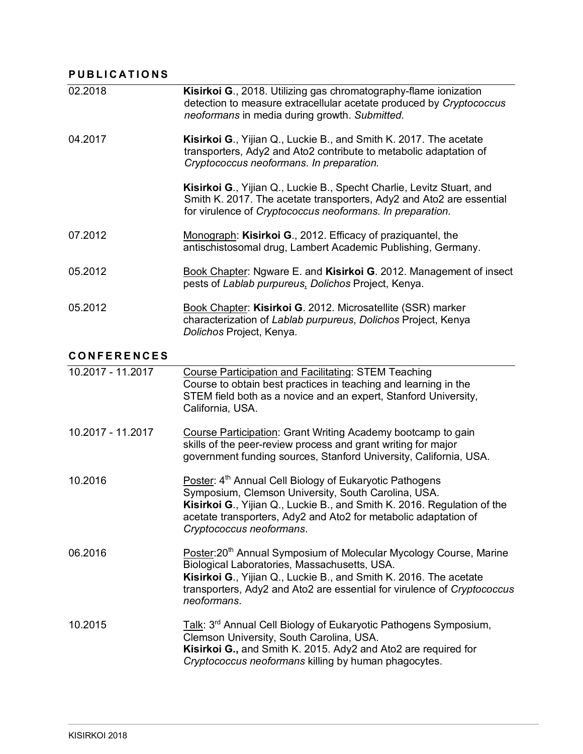### **PUBLICATIONS**

| 02.2018 | Kisirkoi G., 2018. Utilizing gas chromatography-flame ionization<br>detection to measure extracellular acetate produced by Cryptococcus<br>neoformans in media during growth. Submitted.                   |
|---------|------------------------------------------------------------------------------------------------------------------------------------------------------------------------------------------------------------|
| 04.2017 | <b>Kisirkoi G., Yijian Q., Luckie B., and Smith K. 2017. The acetate</b><br>transporters, Ady2 and Ato2 contribute to metabolic adaptation of<br>Cryptococcus neoformans. In preparation.                  |
|         | Kisirkoi G., Yijian Q., Luckie B., Specht Charlie, Levitz Stuart, and<br>Smith K. 2017. The acetate transporters, Ady2 and Ato2 are essential<br>for virulence of Cryptococcus neoformans. In preparation. |
| 07.2012 | Monograph: Kisirkoi G., 2012. Efficacy of praziquantel, the<br>antischistosomal drug, Lambert Academic Publishing, Germany.                                                                                |
| 05.2012 | Book Chapter: Ngware E. and Kisirkoi G. 2012. Management of insect<br>pests of Lablab purpureus, Dolichos Project, Kenya.                                                                                  |
| 05.2012 | Book Chapter: Kisirkoi G. 2012. Microsatellite (SSR) marker<br>characterization of Lablab purpureus, Dolichos Project, Kenya<br>Dolichos Project, Kenya.                                                   |

## **CONFERENCES**

| 10.2017 - 11.2017 | <b>Course Participation and Facilitating: STEM Teaching</b><br>Course to obtain best practices in teaching and learning in the<br>STEM field both as a novice and an expert, Stanford University,<br>California, USA.                                                                                |
|-------------------|------------------------------------------------------------------------------------------------------------------------------------------------------------------------------------------------------------------------------------------------------------------------------------------------------|
| 10.2017 - 11.2017 | Course Participation: Grant Writing Academy bootcamp to gain<br>skills of the peer-review process and grant writing for major<br>government funding sources, Stanford University, California, USA.                                                                                                   |
| 10.2016           | Poster: 4 <sup>th</sup> Annual Cell Biology of Eukaryotic Pathogens<br>Symposium, Clemson University, South Carolina, USA.<br>Kisirkoi G., Yijian Q., Luckie B., and Smith K. 2016. Regulation of the<br>acetate transporters, Ady2 and Ato2 for metabolic adaptation of<br>Cryptococcus neoformans. |
| 06.2016           | Poster:20 <sup>th</sup> Annual Symposium of Molecular Mycology Course, Marine<br>Biological Laboratories, Massachusetts, USA.<br>Kisirkoi G., Yijian Q., Luckie B., and Smith K. 2016. The acetate<br>transporters, Ady2 and Ato2 are essential for virulence of Cryptococcus<br>neoformans.         |
| 10.2015           | Talk: 3 <sup>rd</sup> Annual Cell Biology of Eukaryotic Pathogens Symposium,<br>Clemson University, South Carolina, USA.<br>Kisirkoi G., and Smith K. 2015. Ady2 and Ato2 are required for<br>Cryptococcus neoformans killing by human phagocytes.                                                   |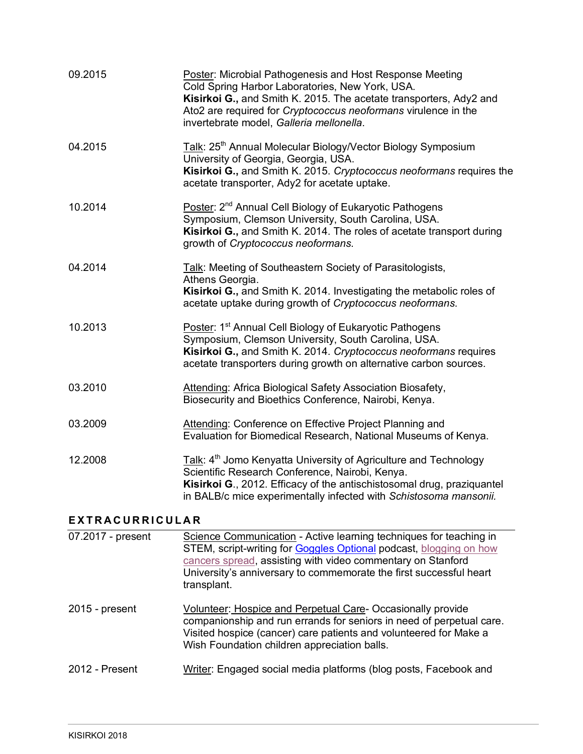| 07.2017 - present | Science Communication - Active learning techniques for teaching in                                                                                                                                                                                                                                     |
|-------------------|--------------------------------------------------------------------------------------------------------------------------------------------------------------------------------------------------------------------------------------------------------------------------------------------------------|
| EXTRACURRICULAR   |                                                                                                                                                                                                                                                                                                        |
| 12.2008           | Talk: 4 <sup>th</sup> Jomo Kenyatta University of Agriculture and Technology<br>Scientific Research Conference, Nairobi, Kenya.<br>Kisirkoi G., 2012. Efficacy of the antischistosomal drug, praziquantel<br>in BALB/c mice experimentally infected with Schistosoma mansonii.                         |
| 03.2009           | Attending: Conference on Effective Project Planning and<br>Evaluation for Biomedical Research, National Museums of Kenya.                                                                                                                                                                              |
| 03.2010           | Attending: Africa Biological Safety Association Biosafety,<br>Biosecurity and Bioethics Conference, Nairobi, Kenya.                                                                                                                                                                                    |
| 10.2013           | Poster: 1 <sup>st</sup> Annual Cell Biology of Eukaryotic Pathogens<br>Symposium, Clemson University, South Carolina, USA.<br>Kisirkoi G., and Smith K. 2014. Cryptococcus neoformans requires<br>acetate transporters during growth on alternative carbon sources.                                    |
| 04.2014           | Talk: Meeting of Southeastern Society of Parasitologists,<br>Athens Georgia.<br>Kisirkoi G., and Smith K. 2014. Investigating the metabolic roles of<br>acetate uptake during growth of Cryptococcus neoformans.                                                                                       |
| 10.2014           | Poster: 2 <sup>nd</sup> Annual Cell Biology of Eukaryotic Pathogens<br>Symposium, Clemson University, South Carolina, USA.<br>Kisirkoi G., and Smith K. 2014. The roles of acetate transport during<br>growth of Cryptococcus neoformans.                                                              |
| 04.2015           | Talk: 25 <sup>th</sup> Annual Molecular Biology/Vector Biology Symposium<br>University of Georgia, Georgia, USA.<br>Kisirkoi G., and Smith K. 2015. Cryptococcus neoformans requires the<br>acetate transporter, Ady2 for acetate uptake.                                                              |
| 09.2015           | Poster: Microbial Pathogenesis and Host Response Meeting<br>Cold Spring Harbor Laboratories, New York, USA.<br>Kisirkoi G., and Smith K. 2015. The acetate transporters, Ady2 and<br>Ato2 are required for <i>Cryptococcus</i> neoformans virulence in the<br>invertebrate model, Galleria mellonella. |

| $07.2017 - present$ | Science Communication - Active learning techniques for teaching in<br>STEM, script-writing for Goggles Optional podcast, blogging on how<br>cancers spread, assisting with video commentary on Stanford<br>University's anniversary to commemorate the first successful heart<br>transplant. |
|---------------------|----------------------------------------------------------------------------------------------------------------------------------------------------------------------------------------------------------------------------------------------------------------------------------------------|
| $2015$ - present    | Volunteer: Hospice and Perpetual Care-Occasionally provide<br>companionship and run errands for seniors in need of perpetual care.<br>Visited hospice (cancer) care patients and volunteered for Make a<br>Wish Foundation children appreciation balls.                                      |
| 2012 - Present      | Writer: Engaged social media platforms (blog posts, Facebook and                                                                                                                                                                                                                             |